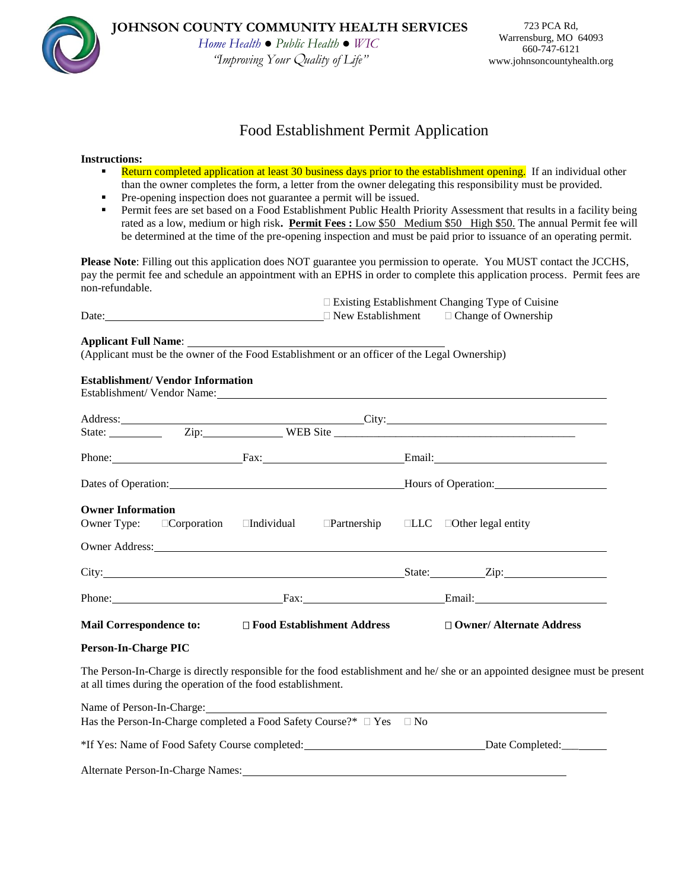

# Food Establishment Permit Application

### **Instructions:**

- **Return completed application at least 30 business days prior to the establishment opening.** If an individual other than the owner completes the form, a letter from the owner delegating this responsibility must be provided.
- Pre-opening inspection does not guarantee a permit will be issued.
- **Permit fees are set based on a Food Establishment Public Health Priority Assessment that results in a facility being** rated as a low, medium or high risk**. Permit Fees :** Low \$50 Medium \$50 High \$50. The annual Permit fee will be determined at the time of the pre-opening inspection and must be paid prior to issuance of an operating permit.

**Please Note**: Filling out this application does NOT guarantee you permission to operate. You MUST contact the JCCHS, pay the permit fee and schedule an appointment with an EPHS in order to complete this application process. Permit fees are non-refundable.

|       |                          | $\Box$ Existing Establishment Changing Type of Cuisine |
|-------|--------------------------|--------------------------------------------------------|
| Date: | $\Box$ New Establishment | $\Box$ Change of Ownership                             |

#### **Applicant Full Name**:

(Applicant must be the owner of the Food Establishment or an officer of the Legal Ownership)

## **Establishment/ Vendor Information**

Establishment/ Vendor Name:

|                                                              |  |                                                                                | Address:<br>State: <u>City:</u> City: City: City: City: City: City: City: City: City: City: City: City: City: City: City: City: City: City: City: City: City: City: City: City: City: City: City: City: City: City: City: City: City:                                                                       |  |
|--------------------------------------------------------------|--|--------------------------------------------------------------------------------|-------------------------------------------------------------------------------------------------------------------------------------------------------------------------------------------------------------------------------------------------------------------------------------------------------------|--|
|                                                              |  |                                                                                |                                                                                                                                                                                                                                                                                                             |  |
|                                                              |  |                                                                                | Dates of Operation: <b>Material Properties</b> Hours of Operation: <b>Material Properties</b>                                                                                                                                                                                                               |  |
| <b>Owner Information</b>                                     |  |                                                                                | Owner Type: □Corporation □Individual □Partnership □LLC □Other legal entity<br>Owner Address: New York Changes and Second Changes and Second Changes and Second Changes and Second Changes and Second Changes and Second Changes and Second Changes and Second Changes and Second Changes and Second Changes |  |
|                                                              |  |                                                                                | City: State: Zip: Zip:                                                                                                                                                                                                                                                                                      |  |
|                                                              |  |                                                                                | Phone: Fax: Email: Email:                                                                                                                                                                                                                                                                                   |  |
|                                                              |  | Mail Correspondence to: □ Food Establishment Address                           | $\Box$ Owner/ Alternate Address                                                                                                                                                                                                                                                                             |  |
| <b>Person-In-Charge PIC</b>                                  |  |                                                                                |                                                                                                                                                                                                                                                                                                             |  |
| at all times during the operation of the food establishment. |  |                                                                                | The Person-In-Charge is directly responsible for the food establishment and he/she or an appointed designee must be present                                                                                                                                                                                 |  |
| Name of Person-In-Charge: 2008. [2016]                       |  | Has the Person-In-Charge completed a Food Safety Course?* $\Box$ Yes $\Box$ No |                                                                                                                                                                                                                                                                                                             |  |

\*If Yes: Name of Food Safety Course completed: Date Completed:\_\_\_

Alternate Person-In-Charge Names: